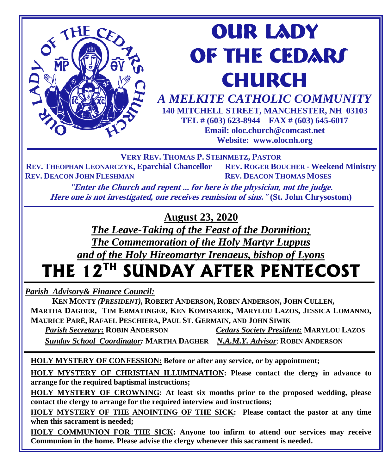

*A MELKITE CATHOLIC COMMUNITY*  **140 MITCHELL STREET, MANCHESTER, NH 03103 TEL # (603) 623-8944 FAX # (603) 645-6017**

**Email: oloc.church@comcast.net Website: www.olocnh.org**

**VERY REV. THOMAS P. STEINMETZ, PASTOR**

**REV. THEOPHAN LEONARCZYK, Eparchial Chancellor REV. ROGER BOUCHER - Weekend Ministry REV. DEACON JOHN FLESHMAN REV. DEACON THOMAS MOSES** 

**"Enter the Church and repent ... for here is the physician, not the judge. Here one is not investigated, one receives remission of sins." (St. John Chrysostom)**

**August 23, 2020**

*The Leave-Taking of the Feast of the Dormition; The Commemoration of the Holy Martyr Luppus and of the Holy Hireomartyr Irenaeus, bishop of Lyons*

# **THE 12TH SUNDAY AFTER PENTECOST**

*Parish Advisory& Finance Council:* 

THE CE

 **KEN MONTY** *(PRESIDENT),* **ROBERT ANDERSON, ROBIN ANDERSON, JOHN CULLEN, MARTHA DAGHER, TIM ERMATINGER, KEN KOMISAREK, MARYLOU LAZOS, JESSICA LOMANNO, MAURICE PARÉ, RAFAEL PESCHIERA, PAUL ST. GERMAIN, AND JOHN SIWIK**

 $Cedars$  *Society President:* **MARYLOU LAZOS** 

 *Sunday School Coordinator:* **MARTHA DAGHER** *N.A.M.Y. Advisor*: **ROBIN ANDERSON**

**HOLY MYSTERY OF CONFESSION: Before or after any service, or by appointment;**

**HOLY MYSTERY OF CHRISTIAN ILLUMINATION: Please contact the clergy in advance to arrange for the required baptismal instructions;**

**HOLY MYSTERY OF CROWNING: At least six months prior to the proposed wedding, please contact the clergy to arrange for the required interview and instructions;**

**HOLY MYSTERY OF THE ANOINTING OF THE SICK: Please contact the pastor at any time when this sacrament is needed;**

**HOLY COMMUNION FOR THE SICK: Anyone too infirm to attend our services may receive Communion in the home. Please advise the clergy whenever this sacrament is needed.**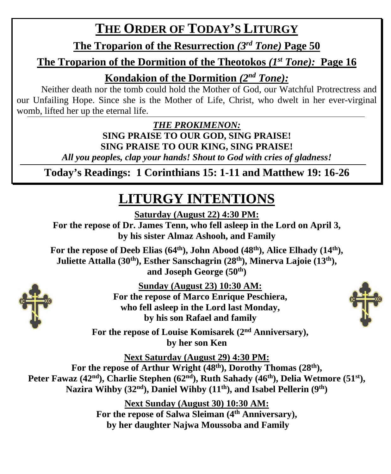# **THE ORDER OF TODAY'S LITURGY**

**The Troparion of the Resurrection** *(3rd Tone)* **Page 50**

### **The Troparion of the Dormition of the Theotokos** *(1st Tone):* **Page 16**

**Kondakion of the Dormition** *(2nd Tone):*

Neither death nor the tomb could hold the Mother of God, our Watchful Protrectress and our Unfailing Hope. Since she is the Mother of Life, Christ, who dwelt in her ever-virginal womb, lifted her up the eternal life.

> *THE PROKIMENON:* **SING PRAISE TO OUR GOD, SING PRAISE! SING PRAISE TO OUR KING, SING PRAISE!**

*All you peoples, clap your hands! Shout to God with cries of gladness!*

**Today's Readings: 1 Corinthians 15: 1-11 and Matthew 19: 16-26**

# **LITURGY INTENTIONS**

**Saturday (August 22) 4:30 PM:**

**For the repose of Dr. James Tenn, who fell asleep in the Lord on April 3, by his sister Almaz Ashooh, and Family**

For the repose of Deeb Elias (64<sup>th</sup>), John Abood (48<sup>th</sup>), Alice Elhady (14<sup>th</sup>), Juliette Attalla (30<sup>th</sup>), Esther Sanschagrin (28<sup>th</sup>), Minerva Lajoie (13<sup>th</sup>), **and Joseph George (50th)**



**Sunday (August 23) 10:30 AM: For the repose of Marco Enrique Peschiera, who fell asleep in the Lord last Monday, by his son Rafael and family**

**For the repose of Louise Komisarek (2nd Anniversary), by her son Ken**

**Next Saturday (August 29) 4:30 PM:** For the repose of Arthur Wright (48<sup>th</sup>), Dorothy Thomas (28<sup>th</sup>), Peter Fawaz (42<sup>nd</sup>), Charlie Stephen (62<sup>nd</sup>), Ruth Sahady (46<sup>th</sup>), Delia Wetmore (51<sup>st</sup>), **Nazira Wihby (32nd), Daniel Wihby (11th), and Isabel Pellerin (9th)**

> **Next Sunday (August 30) 10:30 AM: For the repose of Salwa Sleiman (4th Anniversary), by her daughter Najwa Moussoba and Family**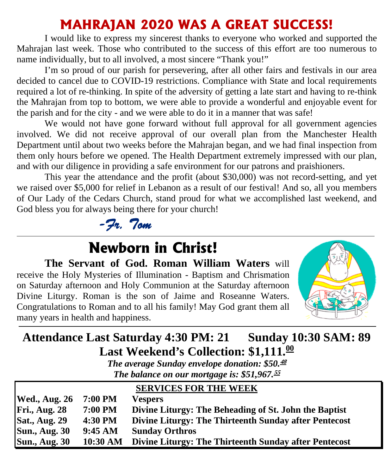## **MAHRAJAN 2020 WAS A GREAT SUCCESS!**

I would like to express my sincerest thanks to everyone who worked and supported the Mahrajan last week. Those who contributed to the success of this effort are too numerous to name individually, but to all involved, a most sincere "Thank you!"

I'm so proud of our parish for persevering, after all other fairs and festivals in our area decided to cancel due to COVID-19 restrictions. Compliance with State and local requirements required a lot of re-thinking. In spite of the adversity of getting a late start and having to re-think the Mahrajan from top to bottom, we were able to provide a wonderful and enjoyable event for the parish and for the city - and we were able to do it in a manner that was safe!

We would not have gone forward without full approval for all government agencies involved. We did not receive approval of our overall plan from the Manchester Health Department until about two weeks before the Mahrajan began, and we had final inspection from them only hours before we opened. The Health Department extremely impressed with our plan, and with our diligence in providing a safe environment for our patrons and praishioners.

This year the attendance and the profit (about \$30,000) was not record-setting, and yet we raised over \$5,000 for relief in Lebanon as a result of our festival! And so, all you members of Our Lady of the Cedars Church, stand proud for what we accomplished last weekend, and God bless you for always being there for your church!



# **Newborn in Christ!**

**The Servant of God. Roman William Waters** will receive the Holy Mysteries of Illumination - Baptism and Chrismation on Saturday afternoon and Holy Communion at the Saturday afternoon Divine Liturgy. Roman is the son of Jaime and Roseanne Waters. Congratulations to Roman and to all his family! May God grant them all many years in health and happiness.



## **Attendance Last Saturday 4:30 PM: 21 Sunday 10:30 SAM: 89 Last Weekend's Collection: \$1,111. 00**

*The average Sunday envelope donation: \$50.* **48** *The balance on our mortgage is: \$51,967.* **55**

|                      |            | <b>SERVICES FOR THE WEEK</b>                          |
|----------------------|------------|-------------------------------------------------------|
| <b>Wed., Aug. 26</b> | 7:00 PM    | <b>Vespers</b>                                        |
| <b>Fri., Aug. 28</b> | 7:00 PM    | Divine Liturgy: The Beheading of St. John the Baptist |
| <b>Sat., Aug. 29</b> | 4:30 PM    | Divine Liturgy: The Thirteenth Sunday after Pentecost |
| <b>Sun., Aug. 30</b> | 9:45 AM    | <b>Sunday Orthros</b>                                 |
| <b>Sun., Aug. 30</b> | $10:30$ AM | Divine Liturgy: The Thirteenth Sunday after Pentecost |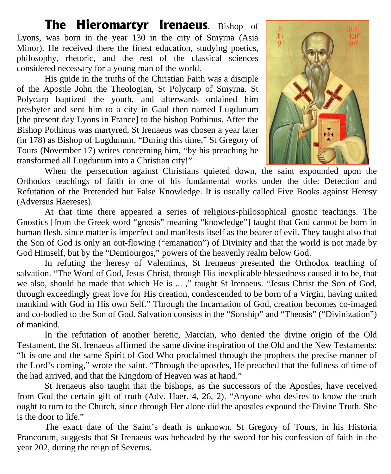**The Hieromartyr Irenaeus**, Bishop of Lyons, was born in the year 130 in the city of Smyrna (Asia Minor). He received there the finest education, studying poetics, philosophy, rhetoric, and the rest of the classical sciences considered necessary for a young man of the world.

His guide in the truths of the Christian Faith was a disciple of the Apostle John the Theologian, St Polycarp of Smyrna. St Polycarp baptized the youth, and afterwards ordained him presbyter and sent him to a city in Gaul then named Lugdunum [the present day Lyons in France] to the bishop Pothinus. After the Bishop Pothinus was martyred, St Irenaeus was chosen a year later (in 178) as Bishop of Lugdunum. "During this time," St Gregory of Tours (November 17) writes concerning him, "by his preaching he transformed all Lugdunum into a Christian city!"



When the persecution against Christians quieted down, the saint expounded upon the Orthodox teachings of faith in one of his fundamental works under the title: Detection and Refutation of the Pretended but False Knowledge. It is usually called Five Books against Heresy (Adversus Haereses).

At that time there appeared a series of religious-philosophical gnostic teachings. The Gnostics [from the Greek word "gnosis" meaning "knowledge"] taught that God cannot be born in human flesh, since matter is imperfect and manifests itself as the bearer of evil. They taught also that the Son of God is only an out-flowing ("emanation") of Divinity and that the world is not made by God Himself, but by the "Demiourgos," powers of the heavenly realm below God.

In refuting the heresy of Valentinus, St Irenaeus presented the Orthodox teaching of salvation. "The Word of God, Jesus Christ, through His inexplicable blessedness caused it to be, that we also, should be made that which He is ... ," taught St Irenaeus. "Jesus Christ the Son of God, through exceedingly great love for His creation, condescended to be born of a Virgin, having united mankind with God in His own Self." Through the Incarnation of God, creation becomes co-imaged and co-bodied to the Son of God. Salvation consists in the "Sonship" and "Theosis" ("Divinization") of mankind.

In the refutation of another heretic, Marcian, who denied the divine origin of the Old Testament, the St. Irenaeus affirmed the same divine inspiration of the Old and the New Testaments: "It is one and the same Spirit of God Who proclaimed through the prophets the precise manner of the Lord's coming," wrote the saint. "Through the apostles, He preached that the fullness of time of the had arrived, and that the Kingdom of Heaven was at hand."

St Irenaeus also taught that the bishops, as the successors of the Apostles, have received from God the certain gift of truth (Adv. Haer. 4, 26, 2). "Anyone who desires to know the truth ought to turn to the Church, since through Her alone did the apostles expound the Divine Truth. She is the door to life."

The exact date of the Saint's death is unknown. St Gregory of Tours, in his Historia Francorum, suggests that St Irenaeus was beheaded by the sword for his confession of faith in the year 202, during the reign of Severus.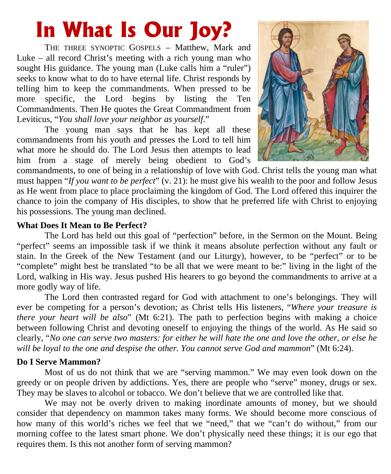# **In What Is Our Joy?**

THE THREE SYNOPTIC GOSPELS – Matthew, Mark and Luke – all record Christ's meeting with a rich young man who sought His guidance. The young man (Luke calls him a "ruler") seeks to know what to do to have eternal life. Christ responds by telling him to keep the commandments. When pressed to be more specific, the Lord begins by listing the Ten Commandments. Then He quotes the Great Commandment from Leviticus, "*You shall love your neighbor as yourself*."

The young man says that he has kept all these commandments from his youth and presses the Lord to tell him what more he should do. The Lord Jesus then attempts to lead him from a stage of merely being obedient to God's



commandments, to one of being in a relationship of love with God. Christ tells the young man what must happen "*If you want to be perfect*" (v. 21): he must give his wealth to the poor and follow Jesus as He went from place to place proclaiming the kingdom of God. The Lord offered this inquirer the chance to join the company of His disciples, to show that he preferred life with Christ to enjoying his possessions. The young man declined.

#### **What Does It Mean to Be Perfect?**

The Lord has held out this goal of "perfection" before, in the Sermon on the Mount. Being "perfect" seems an impossible task if we think it means absolute perfection without any fault or stain. In the Greek of the New Testament (and our Liturgy), however, to be "perfect" or to be "complete" might best be translated "to be all that we were meant to be:" living in the light of the Lord, walking in His way. Jesus pushed His hearers to go beyond the commandments to arrive at a more godly way of life.

The Lord then contrasted regard for God with attachment to one's belongings. They will ever be competing for a person's devotion; as Christ tells His listeners, "*Where your treasure is there your heart will be also*" (Mt 6:21). The path to perfection begins with making a choice between following Christ and devoting oneself to enjoying the things of the world. As He said so clearly, "*No one can serve two masters: for either he will hate the one and love the other, or else he will be loyal to the one and despise the other. You cannot serve God and mammon*" (Mt 6:24).

#### **Do I Serve Mammon?**

Most of us do not think that we are "serving mammon." We may even look down on the greedy or on people driven by addictions. Yes, there are people who "serve" money, drugs or sex. They may be slaves to alcohol or tobacco. We don't believe that we are controlled like that.

We may not be overly driven to making inordinate amounts of money, but we should consider that dependency on mammon takes many forms. We should become more conscious of how many of this world's riches we feel that we "need," that we "can't do without," from our morning coffee to the latest smart phone. We don't physically need these things; it is our ego that requires them. Is this not another form of serving mammon?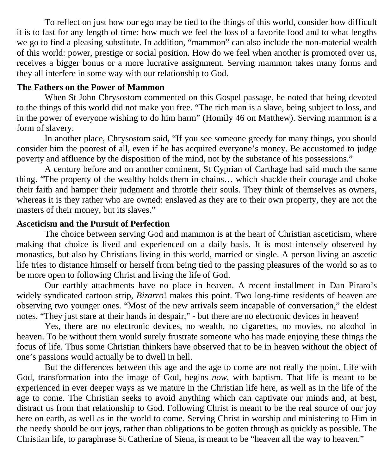To reflect on just how our ego may be tied to the things of this world, consider how difficult it is to fast for any length of time: how much we feel the loss of a favorite food and to what lengths we go to find a pleasing substitute. In addition, "mammon" can also include the non-material wealth of this world: power, prestige or social position. How do we feel when another is promoted over us, receives a bigger bonus or a more lucrative assignment. Serving mammon takes many forms and they all interfere in some way with our relationship to God.

#### **The Fathers on the Power of Mammon**

When St John Chrysostom commented on this Gospel passage, he noted that being devoted to the things of this world did not make you free. "The rich man is a slave, being subject to loss, and in the power of everyone wishing to do him harm" (Homily 46 on Matthew). Serving mammon is a form of slavery.

In another place, Chrysostom said, "If you see someone greedy for many things, you should consider him the poorest of all, even if he has acquired everyone's money. Be accustomed to judge poverty and affluence by the disposition of the mind, not by the substance of his possessions."

A century before and on another continent, St Cyprian of Carthage had said much the same thing. "The property of the wealthy holds them in chains… which shackle their courage and choke their faith and hamper their judgment and throttle their souls. They think of themselves as owners, whereas it is they rather who are owned: enslaved as they are to their own property, they are not the masters of their money, but its slaves."

#### **Asceticism and the Pursuit of Perfection**

The choice between serving God and mammon is at the heart of Christian asceticism, where making that choice is lived and experienced on a daily basis. It is most intensely observed by monastics, but also by Christians living in this world, married or single. A person living an ascetic life tries to distance himself or herself from being tied to the passing pleasures of the world so as to be more open to following Christ and living the life of God.

Our earthly attachments have no place in heaven. A recent installment in Dan Piraro's widely syndicated cartoon strip, *Bizarro*! makes this point. Two long-time residents of heaven are observing two younger ones. "Most of the new arrivals seem incapable of conversation," the eldest notes. "They just stare at their hands in despair," - but there are no electronic devices in heaven!

Yes, there are no electronic devices, no wealth, no cigarettes, no movies, no alcohol in heaven. To be without them would surely frustrate someone who has made enjoying these things the focus of life. Thus some Christian thinkers have observed that to be in heaven without the object of one's passions would actually be to dwell in hell.

But the differences between this age and the age to come are not really the point. Life with God, transformation into the image of God, begins *now*, with baptism. That life is meant to be experienced in ever deeper ways as we mature in the Christian life here, as well as in the life of the age to come. The Christian seeks to avoid anything which can captivate our minds and, at best, distract us from that relationship to God. Following Christ is meant to be the real source of our joy here on earth, as well as in the world to come. Serving Christ in worship and ministering to Him in the needy should be our joys, rather than obligations to be gotten through as quickly as possible. The Christian life, to paraphrase St Catherine of Siena, is meant to be "heaven all the way to heaven."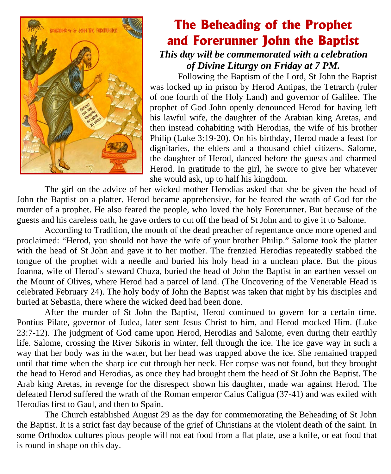

### **The Beheading of the Prophet and Forerunner John the Baptist** *This day will be commemorated with a celebration of Divine Liturgy on Friday at 7 PM.*

Following the Baptism of the Lord, St John the Baptist was locked up in prison by Herod Antipas, the Tetrarch (ruler of one fourth of the Holy Land) and governor of Galilee. The prophet of God John openly denounced Herod for having left his lawful wife, the daughter of the Arabian king Aretas, and then instead cohabiting with Herodias, the wife of his brother Philip (Luke 3:19-20). On his birthday, Herod made a feast for dignitaries, the elders and a thousand chief citizens. Salome, the daughter of Herod, danced before the guests and charmed Herod. In gratitude to the girl, he swore to give her whatever she would ask, up to half his kingdom.

The girl on the advice of her wicked mother Herodias asked that she be given the head of John the Baptist on a platter. Herod became apprehensive, for he feared the wrath of God for the murder of a prophet. He also feared the people, who loved the holy Forerunner. But because of the guests and his careless oath, he gave orders to cut off the head of St John and to give it to Salome.

According to Tradition, the mouth of the dead preacher of repentance once more opened and proclaimed: "Herod, you should not have the wife of your brother Philip." Salome took the platter with the head of St John and gave it to her mother. The frenzied Herodias repeatedly stabbed the tongue of the prophet with a needle and buried his holy head in a unclean place. But the pious Joanna, wife of Herod's steward Chuza, buried the head of John the Baptist in an earthen vessel on the Mount of Olives, where Herod had a parcel of land. (The Uncovering of the Venerable Head is celebrated February 24). The holy body of John the Baptist was taken that night by his disciples and buried at Sebastia, there where the wicked deed had been done.

After the murder of St John the Baptist, Herod continued to govern for a certain time. Pontius Pilate, governor of Judea, later sent Jesus Christ to him, and Herod mocked Him. (Luke 23:7-12). The judgment of God came upon Herod, Herodias and Salome, even during their earthly life. Salome, crossing the River Sikoris in winter, fell through the ice. The ice gave way in such a way that her body was in the water, but her head was trapped above the ice. She remained trapped until that time when the sharp ice cut through her neck. Her corpse was not found, but they brought the head to Herod and Herodias, as once they had brought them the head of St John the Baptist. The Arab king Aretas, in revenge for the disrespect shown his daughter, made war against Herod. The defeated Herod suffered the wrath of the Roman emperor Caius Caligua (37-41) and was exiled with Herodias first to Gaul, and then to Spain.

The Church established August 29 as the day for commemorating the Beheading of St John the Baptist. It is a strict fast day because of the grief of Christians at the violent death of the saint. In some Orthodox cultures pious people will not eat food from a flat plate, use a knife, or eat food that is round in shape on this day.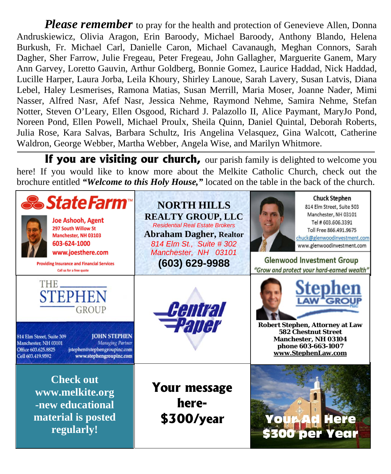*Please remember* to pray for the health and protection of Genevieve Allen, Donna Andruskiewicz, Olivia Aragon, Erin Baroody, Michael Baroody, Anthony Blando, Helena Burkush, Fr. Michael Carl, Danielle Caron, Michael Cavanaugh, Meghan Connors, Sarah Dagher, Sher Farrow, Julie Fregeau, Peter Fregeau, John Gallagher, Marguerite Ganem, Mary Ann Garvey, Loretto Gauvin, Arthur Goldberg, Bonnie Gomez, Laurice Haddad, Nick Haddad, Lucille Harper, Laura Jorba, Leila Khoury, Shirley Lanoue, Sarah Lavery, Susan Latvis, Diana Lebel, Haley Lesmerises, Ramona Matias, Susan Merrill, Maria Moser, Joanne Nader, Mimi Nasser, Alfred Nasr, Afef Nasr, Jessica Nehme, Raymond Nehme, Samira Nehme, Stefan Notter, Steven O'Leary, Ellen Osgood, Richard J. Palazollo II, Alice Paymant, MaryJo Pond, Noreen Pond, Ellen Powell, Michael Proulx, Sheila Quinn, Daniel Quintal, Deborah Roberts, Julia Rose, Kara Salvas, Barbara Schultz, Iris Angelina Velasquez, Gina Walcott, Catherine Waldron, George Webber, Martha Webber, Angela Wise, and Marilyn Whitmore.

**If you are visiting our church,** our parish family is delighted to welcome you here! If you would like to know more about the Melkite Catholic Church, check out the brochure entitled *"Welcome to this Holy House,"* located on the table in the back of the church.

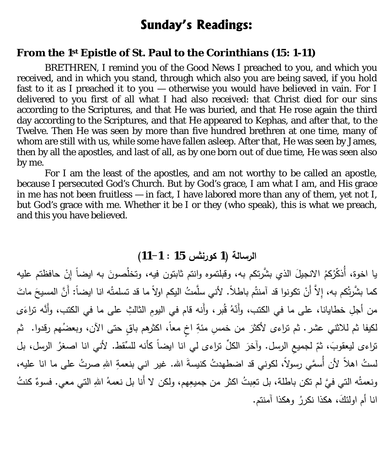### **Sunday's Readings:**

#### **From the 1st Epistle of St. Paul to the Corinthians (15: 1-11)**

BRETHREN, I remind you of the Good News I preached to you, and which you received, and in which you stand, through which also you are being saved, if you hold fast to it as I preached it to you — otherwise you would have believed in vain. For I delivered to you first of all what I had also received: that Christ died for our sins according to the Scriptures, and that He was buried, and that He rose again the third day according to the Scriptures, and that He appeared to Kephas, and after that, to the Twelve. Then He was seen by more than five hundred brethren at one time, many of whom are still with us, while some have fallen asleep. After that, He was seen by James, then by all the apostles, and last of all, as by one born out of due time, He was seen also by me.

For I am the least of the apostles, and am not worthy to be called an apostle, because I persecuted God's Church. But by God's grace, I am what I am, and His grace in me has not been fruitless — in fact, I have labored more than any of them, yet not I, but God's grace with me. Whether it be I or they (who speak), this is what we preach, and this you have believed.

#### **الرسالة (1 كورنثس 15 : 11-1)**

يا اخوة، أَذكَّرُكمُ الانجيلَ الذي بشَّرتكم به، وقبلتموه وانتم ثابتون فيه، وتخلُصونَ به ايضاً إِنْ حافظتم عليه ੍ كما بشَّرتُكم به، إِلاَّ أَنْ تكونوا قد آمنتُم باطلاً. لأني سلَّمتُ اليكم اولاً ما قد تسلمتُه انا ايضاً: أَنَّ المسيحَ ماتَ من أجلِ خطايانا، على ما في الكتب، وأَنّهُ قُبر، وأَنه قام في اليومِ الثالثِ على ما في الكتب، وأَنَّه نراءَى لكيفا ثم للاثنـي عشر . ثم تراءى لأكثرَ من خمسِ مئةِ اخٍ معاً، اكثرهم باقٍ حتى الآن، وبعضُهم رقدوا. ثم نراءى ليعقوبَ، ثمّ لجميعِ الرسل. وأخرَ الكلِّ نراءى لي انا ايضاً كأنه للسُّقط. لأني انا اصغرُ الرسل، بل لستُ اهلاً لأن أُسمَّي رسولاً، لكوني قد اضطهدتُ كنيسةَ الله. غير اني بنعمةِ اللهِ صرتُ على ما انا عليه، ونعمتُه التي فيَّ لم تكن باطلة، بل تعِبتُ اكثر من جميعِهم، ولكن لا أَنا بل نعمهُ اللهِ التي معي. فسوءٌ كنتُ انا أم اولئكَ، هكذا نكررُ وهكذا أمنتم.<br>.